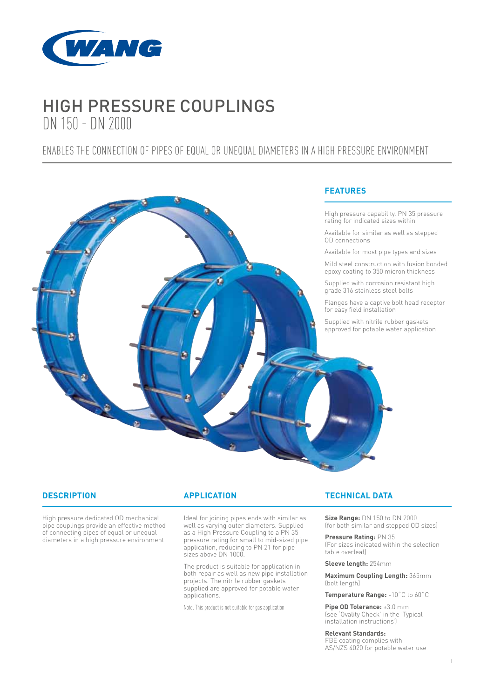

## HIGH PRESSURE COUPLINGS DN 150 - DN 2000

ENABLES THE CONNECTION OF PIPES OF EQUAL OR UNEQUAL DIAMETERS IN A HIGH PRESSURE ENVIRONMENT



#### **Description**

High pressure dedicated OD mechanical pipe couplings provide an effective method of connecting pipes of equal or unequal diameters in a high pressure environment

#### **APPLICATION**

Ideal for joining pipes ends with similar as well as varying outer diameters. Supplied as a High Pressure Coupling to a PN 35 pressure rating for small to mid-sized pipe application, reducing to PN 21 for pipe sizes above DN 1000.

The product is suitable for application in both repair as well as new pipe installation projects. The nitrile rubber gaskets supplied are approved for potable water applications.

Note: This product is not suitable for gas application

#### **TECHNICAL DATA**

**Size Range:** DN 150 to DN 2000 (for both similar and stepped OD sizes)

**Pressure Rating:** PN 35 (For sizes indicated within the selection table overleaf)

**Sleeve length:** 254mm

**Maximum Coupling Length:** 365mm (bolt length)

**Temperature Range:** -10˚C to 60˚C

**Pipe OD Tolerance:** ±3.0 mm (see 'Ovality Check' in the 'Typical installation instructions')

#### **Relevant Standards:**

FBE coating complies with AS/NZS 4020 for potable water use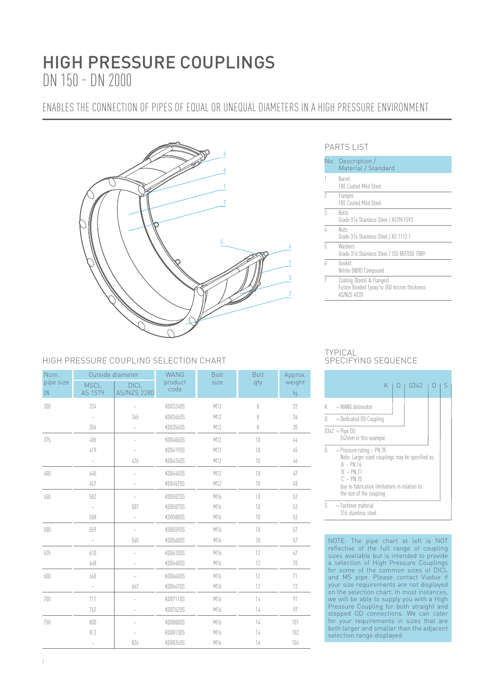# HIGH PRESSURE COUPLINGS DN 150 - DN 2000

### ENABLES THE connectiON OF pipes of equal or unequal diameters in a high pressure environment



### PARTS LIST

|   | No. Description /<br>Material / Standard                                                 |
|---|------------------------------------------------------------------------------------------|
|   | <b>Barrel</b><br><b>FBF Coated Mild Steel</b>                                            |
| 2 | Flanges<br>FRF Coated Mild Steel                                                         |
| 3 | <b>Bolts</b><br>Grade 316 Stainless Steel / ASTM F593                                    |
| 4 | Nuts<br>Grade 316 Stainless Steel / AS 1112.1                                            |
| 5 | Washers<br>Grade 316 Stainless Steel / ISO 887/ISO 7089                                  |
| ĥ | Gasket<br>Nitrile (NBR) Compound                                                         |
| 7 | Coating (Barrel & Flanges)<br>Fusion Bonded Epoxy to 350 micron thickness<br>AS/NZS 4020 |

### HIGH PRESSURE COUPLING SELECTION CHART

| Nom.                   | Outside diameter         |                                   | <b>WANG</b>     | <b>Bolt</b> | <b>Bolt</b> | Approx.      |  |
|------------------------|--------------------------|-----------------------------------|-----------------|-------------|-------------|--------------|--|
| pipe size<br><b>DN</b> | <b>MSCL</b><br>AS 1579   | <b>DICL</b><br><b>AS/NZS 2280</b> | product<br>code | size        | qty         | weight<br>kg |  |
| 300                    | 324                      |                                   | KD0324DS        | M12         | 8           | 32           |  |
|                        |                          | 345                               | KD0345DS        | M12         | 8           | 34           |  |
|                        | 356                      |                                   | KD0356DS        | M12         | 8           | 35           |  |
| 375                    | 406                      |                                   | KD0406DS        | M12         | 10          | 44           |  |
|                        | 419                      |                                   | KD0419DS        | M12         | 10          | 45           |  |
|                        | $\overline{a}$           | 426                               | KD0426DS        | M12         | 10          | 46           |  |
| 400                    | 445                      |                                   | KD0445DS        | M12         | 10          | 47           |  |
|                        | 457                      |                                   | KD0457DS        | M12         | 10          | 48           |  |
| 450                    | 502                      |                                   | KD0502DS        | M16         | 10          | 52           |  |
|                        | $\overline{a}$           | 507                               | KD0507DS        | M16         | 10          | 53           |  |
|                        | 508                      |                                   | KD0508DS        | M16         | 10          | 53           |  |
| 500                    | 559                      |                                   | KD0559DS        | M16         | 10          | 57           |  |
|                        | $\overline{a}$           | 560                               | KD0560DS        | M16         | 10          | 57           |  |
| 525                    | 610                      |                                   | KD0610DS        | M16         | 12          | 67           |  |
|                        | 648                      |                                   | KD0648DS        | M16         | 12          | 70           |  |
| 600                    | 660                      |                                   | KD0660DS        | M16         | 12          | 71           |  |
|                        | $\overline{\phantom{0}}$ | 667                               | KD0667DS        | M16         | 12          | 72           |  |
| 700                    | 711                      |                                   | KD0711DS        | M16         | 14          | 91           |  |
|                        | 762                      |                                   | KD0762DS        | M16         | 14          | 97           |  |
| 750                    | 800                      |                                   | KD0800DS        | M16         | 14          | 101          |  |
|                        | 813                      |                                   | <b>KD0813DS</b> | M16         | 14          | 102          |  |
|                        | $\overline{a}$           | 826                               | KD0826DS        | M16         | 14          | 104          |  |

#### Typical specifying sequence

|   | K.                                                                                                                                                                                                          |  | D + 0342 |  |  |  |  |  |  |
|---|-------------------------------------------------------------------------------------------------------------------------------------------------------------------------------------------------------------|--|----------|--|--|--|--|--|--|
|   | K = WANG delineator                                                                                                                                                                                         |  |          |  |  |  |  |  |  |
| n | = Dedicated OD Coupling                                                                                                                                                                                     |  |          |  |  |  |  |  |  |
|   | $0342$ = Pipe OD<br>342mm in this example                                                                                                                                                                   |  |          |  |  |  |  |  |  |
|   | $=$ Pressure rating $-$ PN 35<br>Note: Larger sized couplings may be specified as:<br>$A - PN16$<br>$R - PN 21$<br>$C - PN$ 25<br>due to fabrication limitations in relation to<br>the size of the coupling |  |          |  |  |  |  |  |  |
| S | = Fastener material<br>316 stainless steel                                                                                                                                                                  |  |          |  |  |  |  |  |  |

NOTE: The pipe chart at left is NOT reflective of the full range of coupling sizes available but is intended to provide a selection of High Pressure Couplings for some of the common sizes of DICL and MS pipe. Please contact Viadux if your size requirements are not displayed on the selection chart. In most instances, we will be able to supply you with a High Pressure Coupling for both straight and stepped OD connections. We can cater for your requirements in sizes that are both larger and smaller than the adjacent selection range displayed.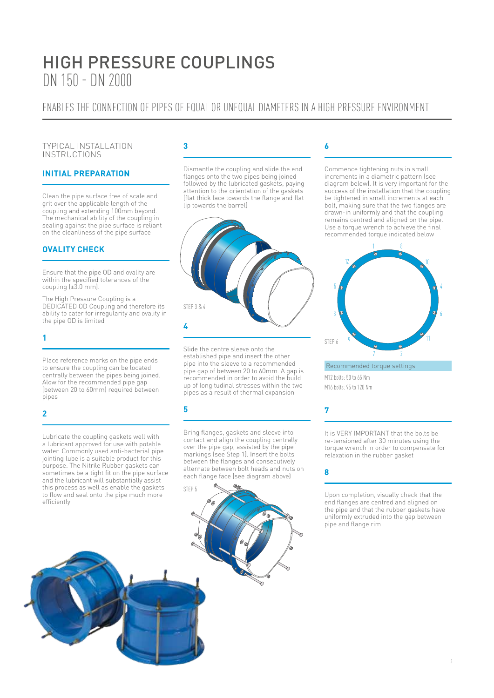# HIGH PRESSURE COUPLINGS DN 150 - DN 2000

### ENABLES THE connectiON OF pipes of equal or unequal diameters in a high pressure environment

#### Typical installation instructions

#### **Initial Preparation**

Clean the pipe surface free of scale and grit over the applicable length of the coupling and extending 100mm beyond. The mechanical ability of the coupling in sealing against the pipe surface is reliant on the cleanliness of the pipe surface

#### **Ovality Check**

Ensure that the pipe OD and ovality are within the specified tolerances of the coupling (±3.0 mm).

The High Pressure Coupling is a DEDICATED OD Coupling and therefore its ability to cater for irregularity and ovality in the pipe OD is limited

#### **1**

Place reference marks on the pipe ends to ensure the coupling can be located centrally between the pipes being joined. Alow for the recommended pipe gap (between 20 to 60mm) required between pipes

#### **2**

Lubricate the coupling gaskets well with a lubricant approved for use with potable water. Commonly used anti-bacterial pipe jointing lube is a suitable product for this purpose. The Nitrile Rubber gaskets can sometimes be a tight fit on the pipe surface and the lubricant will substantially assist this process as well as enable the gaskets to flow and seal onto the pipe much more efficiently

#### **3**

Dismantle the coupling and slide the end flanges onto the two pipes being joined followed by the lubricated gaskets, paying attention to the orientation of the gaskets (flat thick face towards the flange and flat lip towards the barrel)



Slide the centre sleeve onto the established pipe and insert the other pipe into the sleeve to a recommended pipe gap of between 20 to 60mm. A gap is recommended in order to avoid the build up of longitudinal stresses within the two pipes as a result of thermal expansion

#### **5**

Bring flanges, gaskets and sleeve into contact and align the coupling centrally over the pipe gap, assisted by the pipe markings (see Step 1). Insert the bolts between the flanges and consecutively alternate between bolt heads and nuts on each flange face (see diagram above)



### **6**

Commence tightening nuts in small increments in a diametric pattern (see diagram below). It is very important for the success of the installation that the coupling be tightened in small increments at each bolt, making sure that the two flanges are drawn-in uniformly and that the coupling remains centred and aligned on the pipe. Use a torque wrench to achieve the final recommended torque indicated below



M12 bolts: 50 to 65 Nm M16 bolts: 95 to 120 Nm

**7**

It is VERY IMPORTANT that the bolts be re-tensioned after 30 minutes using the torque wrench in order to compensate for relaxation in the rubber gasket

#### **8**

Upon completion, visually check that the end flanges are centred and aligned on the pipe and that the rubber gaskets have uniformly extruded into the gap between pipe and flange rim